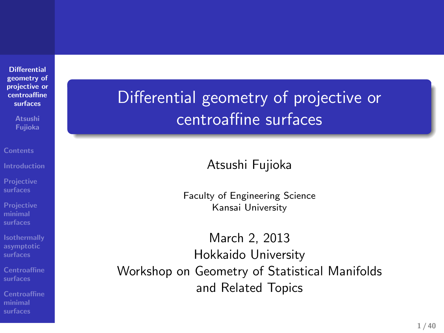**Differential geometry of projective or centroaffine surfaces**

**Atsushi Fujioka**

**Projective surfaces Projective minimal surfaces**

**Isothermally asymptotic surfaces**

**Centroaffine surfaces**

**Centroaffine minimal surfaces**

Differential geometry of projective or centroaffine surfaces

. The contract of the contract of the contract of the contract of the contract of the contract of the contract of the contract of the contract of the contract of the contract of the contract of the contract of the contrac Atsushi Fujioka

> Faculty of Engineering Science Kansai University

March 2, 2013 Hokkaido University Workshop on Geometry of Statistical Manifolds and Related Topics

.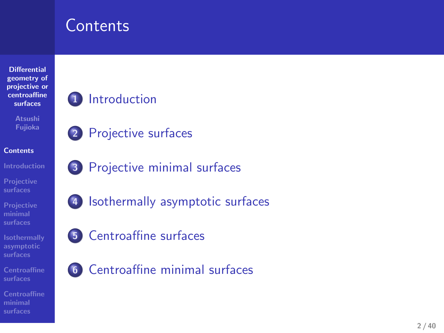### **Contents**



**Centroaffine minimal surfaces**

. .

- 
- **6** Centroaffine minimal surfaces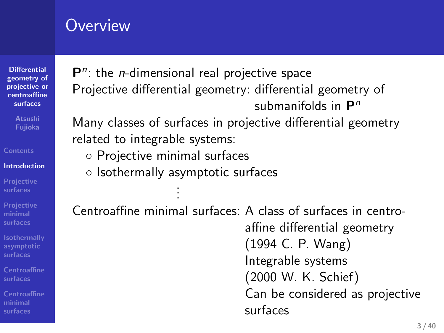### **Overview**

**Differential geometry of projective or centroaffine surfaces**

**Introduction Projective surfaces**

**Projective minimal surfaces**

**Isothermally asymptotic surfaces**

**Centroaffine surfaces**

**minimal surfaces**

P<sup>n</sup>: the *n*-dimensional real projective space Projective differential geometry: differential geometry of submanifolds in **P** *n*

Many classes of surfaces in projective differential geometry related to integrable systems:

- *◦* Projective minimal surfaces
- *◦* Isothermally asymptotic surfaces . . .

Centroaffine minimal surfaces: A class of surfaces in centroaffine differential geometry (1994 C. P. Wang) Integrable systems (2000 W. K. Schief) Can be considered as projective surfaces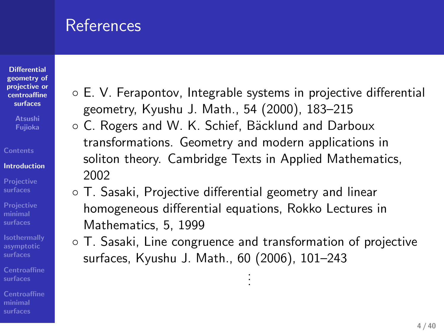### **References**

**Contents Introduction Projective surfaces**

**minimal surfaces**

**minimal surfaces**

**Isothermally asymptotic surfaces**

- *◦* E. V. Ferapontov, Integrable systems in projective differential geometry, Kyushu J. Math., 54 (2000), 183–215
- *◦* C. Rogers and W. K. Schief, B¨acklund and Darboux transformations. Geometry and modern applications in soliton theory. Cambridge Texts in Applied Mathematics, 2002
- *◦* T. Sasaki, Projective differential geometry and linear homogeneous differential equations, Rokko Lectures in Mathematics, 5, 1999
- *◦* T. Sasaki, Line congruence and transformation of projective surfaces, Kyushu J. Math., 60 (2006), 101–243 . . .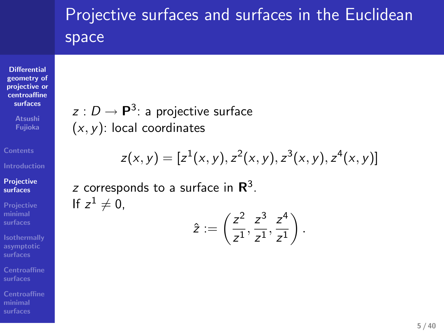### Projective surfaces and surfaces in the Euclidean space

 $z(x, y) = [z^1(x, y), z^2(x, y), z^3(x, y), z^4(x, y)]$ 

 $\frac{z^2}{z^1}, \frac{z^3}{z^1}$  $\frac{z^3}{z^1}, \frac{z^4}{z^1}$ *z* 1 ) *.*

 $\hat{z} := \left(\frac{z^2}{z}\right)$ 

*z* : *D* → **P**<sup>3</sup>: a projective surface

*z* corresponds to a surface in **R** 3 .

(*x, y*): local coordinates

If  $z^1 \neq 0$ ,

**Differential geometry of projective or centroaffine surfaces Fujioka**

**Projective surfaces Projective minimal surfaces**

**Isothermally asymptotic surfaces**

**Centroaffine surfaces**

**Centroaffine minimal surfaces**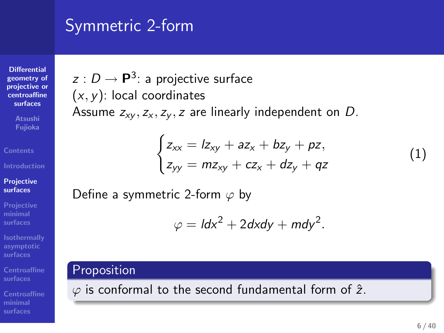### Symmetric 2-form

( *x , y*): local coordinates

*z* : *D →* **P**<sup>3</sup> : a projective surface

Define a symmetric 2-form *ϕ* by

**Differential geometry of projective or centroaffine surfaces**

**Atsushi Fujioka**

**Projective surfaces**

**Projective minimal surfaces**

**Isothermally asymptotic surfaces Centroaffine surfaces**

**Centroaffine minimal surfaces**

## $\varphi = \mathsf{Id}x^2 + 2\mathsf{d}x\mathsf{d}y + \mathsf{m}\mathsf{d}y^2$ symmetric 2-form<br>  $x : (U - P^2)$  are projective surface<br>  $x : (x, y)$ . Letal coordinates<br>
Showne  $\omega_{\xi^2}$ ,  $\omega_{\xi^2}$ ,  $\omega_{\xi^2}$  are the leady-state of on 0.<br>  $\int_{\xi \omega_{\xi}} = n\omega_{\xi^2} - n\omega_{\xi} + \psi_{\xi^2} = n\omega$ .<br>  $\int_{\xi \omega_{\xi}} = n\omega_{\$

. .  $\varphi$  is conformal to the second fundamental form of  $\hat{z}$ .

Assume  $z_{xy}, z_x, z_y, z$  are linearly independent on D.

 $\int z_{xx} = lz_{xy} + az_x + bz_y + pz_y$ *zyy* = *mzxy* + *cz<sup>x</sup>* + *dz<sup>y</sup>* + *qz*

(1)

*.* .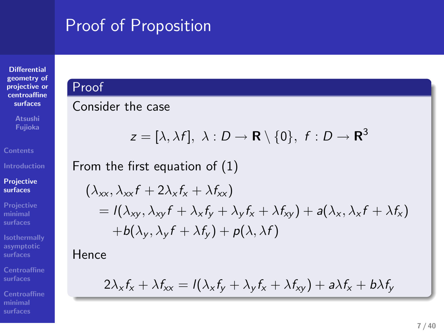### Proof of Proposition . tract of Proposition<br>Proof of Proposition<br>Proof . .

From the first equation of (1)

 $(\lambda_{xx}, \lambda_{xx}f + 2\lambda_x f_x + \lambda f_{xx})$ 

Consider the case

**Differential geometry of projective or centroaffine surfaces**

**Atsushi Fujioka**

**Projective surfaces Projective minimal surfaces**

**Centroaffine surfaces**

**minimal surfaces**

**Isothermally**

Hence

$$
2\lambda_x f_x + \lambda f_{xx} = I(\lambda_x f_y + \lambda_y f_x + \lambda f_{xy}) + a\lambda f_x + b\lambda f_y
$$

 $+ b(\lambda_y, \lambda_y f + \lambda f_y) + p(\lambda, \lambda f)$ 

 $z = [\lambda, \lambda f], \lambda : D \to \mathbf{R} \setminus \{0\}, f : D \to \mathbf{R}^3$ 

 $=$   $I(\lambda_{xy}, \lambda_{xy}f + \lambda_x f_y + \lambda_y f_x + \lambda f_{xy}) + a(\lambda_x, \lambda_x f + \lambda f_x)$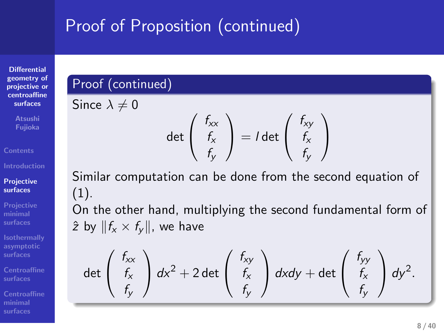### Proof of Proposition (continued) . Proof of Proposition (continued)<br>
Proof (continued)<br>Proof (continued) Proof of Proposition (continued)<br>Proof of Proposition (continued)<br>Since  $\lambda$  and

 $\det \left( \begin{array}{c} f_{xx} \\ f_{x} \\ f_{y} \end{array} \right)$ *fxfy*

 $\int dx^2 + 2 \det \begin{pmatrix} f_{xy} \\ f_x \end{pmatrix}$ 

 $\left( \begin{array}{c} f_{xy} \\ f_x \end{array} \right) = I \det \left( \begin{array}{c} f_{xy} \\ f_x \end{array} \right)$ 

Similar computation can be done from the second equation of

On the other hand, multiplying the second fundamental form of

*fxfy* *fxfy*

 $\int dx dy + \det \left( \begin{array}{c} f_{yy} \\ f_x \end{array} \right)$ 

*fxfy*  *dy* 2 *.*

 $\bigg)$ 

### **Differential geometry of projective or centroaffine**

**surfaces Fujioka**

**Introduction Projective surfaces**

**Projective**

**minimal Isothermally asymptotic**

**Centroaffine**

**Centroaffine minimal**

 $\det \left( \begin{array}{c} f_{xx} \\ f_{x} \\ f_{y} \end{array} \right)$ *fxfy*

(1).

Since  $\lambda \neq 0$ 

 $\hat{z}$  by  $||f_x \times f_y||$ , we have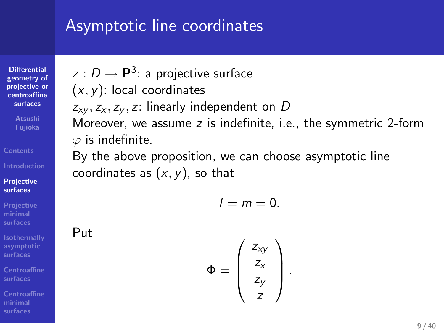### Asymptotic line coordinates

*z* : *D* → **P**<sup>3</sup>: a projective surface

coordinates as (*x, y*), so that

*zxy , z<sup>x</sup> , z<sup>y</sup> , z*: linearly independent on *D*

(*x, y*): local coordinates

*ϕ* is indefinite.

**Differential geometry of projective or centroaffine surfaces Atsushi Fujioka**

**Projective surfaces Projective minimal surfaces**

**Isothermally asymptotic**

Put

**Centroaffine**

**Centroaffine minimal surfaces**

### $l = m = 0$ .

By the above proposition, we can choose asymptotic line

Moreover, we assume *z* is indefinite, i.e., the symmetric 2-form

 $\Phi =$  $\sqrt{ }$  $\overline{\phantom{a}}$ *zxy zx zy z*  $\setminus$ *.*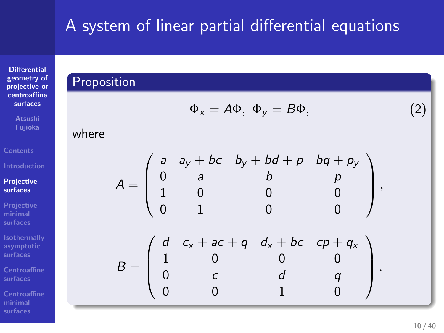### A system of linear partial differential equations . Reported a System of linear partial differential equations .<br>Proposition . A system of linear partial differential equations<br>Proposition

**Differential geometry of projective or centroaffine surfaces Atsushi Fujioka**

**Projective surfaces**

**Projective minimal surfaces**

**Isothermally asymptotic surfaces**

**Centroaffine surfaces**

where

where  
\n
$$
\Phi_x = A\Phi, \Phi_y = B\Phi,
$$
\n(2)  
\n
$$
A = \begin{pmatrix}\na & a_y + bc & b_y + bd + p & bq + p_y \\
0 & a & b & p \\
1 & 0 & 0 & 0 \\
0 & 1 & 0 & 0\n\end{pmatrix},
$$
\n
$$
B = \begin{pmatrix}\nd & c_x + ac + q & d_x + bc & cp + q_x \\
1 & 0 & 0 & 0 \\
0 & c & d & q \\
0 & 0 & 1 & 0\n\end{pmatrix}.
$$

**Centroaffine minimal surfaces**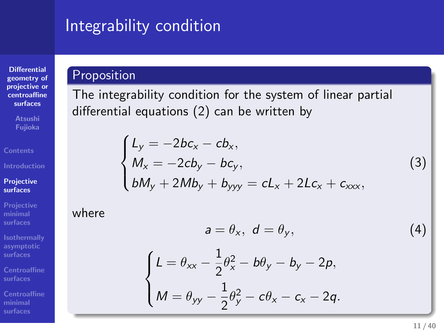# Integrability condition . Integrability condition<br>Proposition .<br>Proposition

**Differential geometry of projective or centroaffine surfaces**

**Atsushi Fujioka**

**Projective surfaces**

**Projective minimal surfaces**

**Isothermally asymptotic surfaces Centroaffine surfaces**

**Centroaffine minimal surfaces**

The integrability condition for the system of linear partial differential equations (2) can be written by

$$
\begin{cases}\nL_y = -2bc_x - cb_x, \\
M_x = -2cb_y - bc_y, \\
bM_y + 2Mb_y + b_{yyy} = cL_x + 2Lc_x + c_{xxx},\n\end{cases}
$$
\n(3)

where

$$
a = \theta_{x}, \ d = \theta_{y}, \tag{4}
$$

$$
\left\{\n \begin{aligned}\n L &= \theta_{xx} - \frac{1}{2}\theta_x^2 - b\theta_y - b_y - 2p, \\
 M &= \theta_{yy} - \frac{1}{2}\theta_y^2 - c\theta_x - c_x - 2q.\n \end{aligned}\n \right.
$$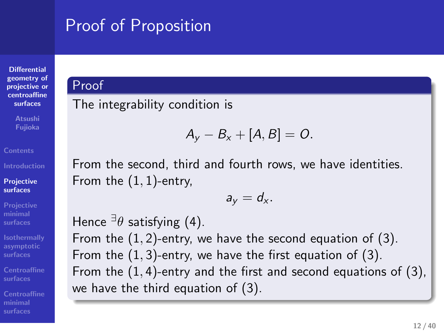### Proof of Proposition . Proof of Proposition<br>Proof<br>Proof Proof of Proposition<br>Proof<br>Cool<br>The internative condition is

**Differential geometry of projective or centroaffine surfaces**

**Projective surfaces Projective minimal surfaces Isothermally asymptotic surfaces**

**Centroaffine surfaces**

### **minimal surfaces**

The integrability condition is

### From the second, third and fourth rows, we have identities. From the  $(1,1)$ -entry,

we have the third equation of (3). Hence *∃ θ* satisfying (4). From the  $(1, 2)$ -entry, we have the second equation of  $(3)$ . From the  $(1, 3)$ -entry, we have the first equation of  $(3)$ . From the  $(1, 4)$ -entry and the first and second equations of  $(3)$ , we have the third equation of (3).

 $A_y - B_x + [A, B] = 0.$ 

 $a_y = d_x$ .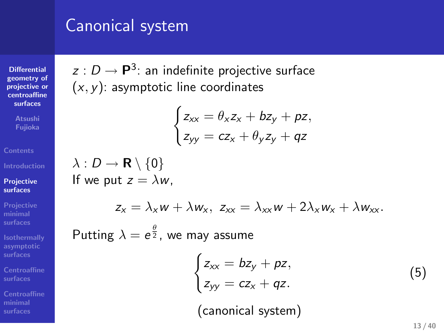### Canonical system

**Differential geometry of projective or centroaffine surfaces**

**Atsushi Fujioka**

**Projective surfaces**

**Projective minimal surfaces Isothermally asymptotic surfaces**

**Centroaffine surfaces Centroaffine minimal surfaces**

 $z: D \to \mathsf{P}^3$ : an indefinite projective surface (*x, y*): asymptotic line coordinates

$$
\begin{cases} z_{xx} = \theta_x z_x + bz_y + pz, \\ z_{yy} = cz_x + \theta_y z_y + qz \end{cases}
$$

*λ* : *D →* **R** *\ {*0*}* If we put  $z = \lambda w$ ,

$$
z_x = \lambda_x w + \lambda w_x, \ z_{xx} = \lambda_{xx} w + 2\lambda_x w_x + \lambda w_{xx}.
$$

Putting  $\lambda = e^{\frac{\theta}{2}}$ , we may assume

$$
\begin{cases}\nz_{xx} = bz_y + pz, \\
z_{yy} = cz_x + qz.\n\end{cases}
$$
\n(5)

(canonical system)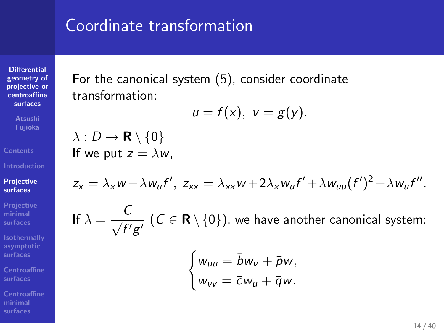### Coordinate transformation

**Differential geometry of projective or centroaffine surfaces**

**Atsushi Fujioka**

**Projective surfaces Projective minimal surfaces**

**Isothermally asymptotic surfaces**

**Centroaffine**

**Centroaffine minimal surfaces**

For the canonical system (5), consider coordinate transformation:

$$
u=f(x), v=g(y).
$$

*λ* : *D →* **R** *\ {*0*}* If we put  $z = \lambda w$ ,

$$
z_{x} = \lambda_{x} w + \lambda w_{u} f', \ z_{xx} = \lambda_{xx} w + 2\lambda_{x} w_{u} f' + \lambda w_{uu} (f')^{2} + \lambda w_{u} f''.
$$

If 
$$
\lambda = \frac{C}{\sqrt{f'g'}}
$$
 ( $C \in \mathbf{R} \setminus \{0\}$ ), we have another canonical system:  
\n
$$
\begin{cases}\nw_{uu} = \bar{b}w_v + \bar{p}w, \\
w_{vv} = \bar{c}w_u + \bar{q}w.\n\end{cases}
$$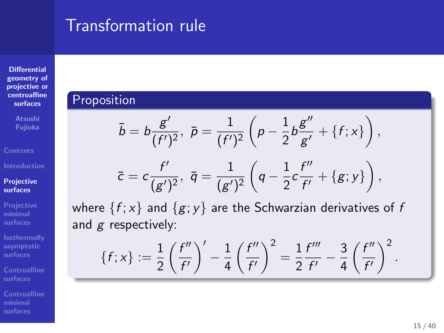### Transformation rule . Proposition rule<br>Proposition .<br>Proposition Transformation rule<br>  $\frac{1}{\delta} = b \frac{d}{\delta(x)}, \ p = \frac{1}{\epsilon^2 \sqrt{2}} \left( p - \frac{1}{6} b \frac{d^2}{dx} - \{f(x)\} \right).$

 $\bar{c} = c \frac{f'}{f}$ 

 $\{f; x\} := \frac{1}{2} \left( \frac{f''}{f'} \right)$ 

and *g* respectively:

 $\frac{f'}{(g')^2}, \,\, \bar{q}=\frac{1}{(g')}$ 

*f 0*

 $(g')^2$ 

 $\bigg)^{\prime} - \frac{1}{4} \left( \frac{f^{\prime \prime}}{f^{\prime \prime}} \right)$ 

where  $\{f; x\}$  and  $\{g; y\}$  are the Schwarzian derivatives of  $f$ 

*f 0*

 $\setminus^2$ 

 $=\frac{1}{2}\frac{f'''}{f'}$ 

**Differential geometry of projective or centroaffine surfaces**

**Contents Introduction Projective surfaces**

**Projective minimal surfaces**

**Isothermally asymptotic surfaces**

**Centroaffine surfaces**

**minimal surfaces**

*00*

 $\left(q-\frac{1}{2}c\frac{f''}{f'}\right)$ 

 $\frac{g''}{g'} + \{f; x\}$ ,

 $\frac{f''}{f'} + \{g; y\}$ ,

 $\frac{f'''}{f'} - \frac{3}{4} \left( \frac{f''}{f'} \right)$ 

*f 0*

 $\setminus^2$ *.*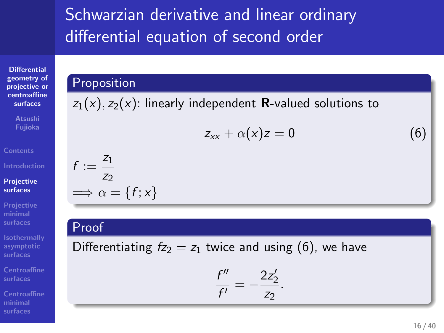### Schwarzian derivative and linear ordinary  $S$ chwarzian derivative and linear ordinary<br>differential equation of second order . Proposition .  $\begin{minipage}[t]{0.9\linewidth} \textbf{Schwarzian derivative and linear ordinary}\qquad \text{differential equation of second order} \end{minipage} \begin{minipage}[t]{0.9\linewidth} \textbf{C} & \text{C} & \text{D} & \text{D} & \text{D} & \text{D} & \text{D} & \text{D} & \text{D} & \text{D} & \text{D} & \text{D} & \text{D} & \text{D} & \text{D} & \text{D} & \text{D} & \text{D} & \text{D} & \text{D} & \text{D} & \text{D} & \text{D} & \text{D} & \text{D} & \text{D} & \$ Schwarzlan derivative and linear ordinary<br>  $\gamma_1(z), \gamma_2(z)$  linearly subproduct scalars whites to<br>  $\gamma_1(z), \gamma_2(z)$  linearly subproduct scalars whites to<br>  $\tau_2 + \alpha_1(z) = 0$ <br>  $\tau_3 = \frac{\tau_2}{\tau_3}$ <br>
Differentiating  $\alpha_2 = \frac{\tau_2(z)}{$ ifferential equation of second order<br>  $\frac{d(x)}{dx} = \frac{1}{2\sqrt{2\pi}} \int_{-\infty}^{\infty} \frac{dx}{dx}$ <br>  $\frac{d(x)}{dx} = \frac{1}{2\sqrt{2\pi}} \int_{-\infty}^{\infty} \frac{dx}{dx} = \frac{1}{2\sqrt{2\pi}} \int_{-\infty}^{\infty} \frac{dx}{dx} = \frac{1}{2\sqrt{2\pi}} \int_{-\infty}^{\infty} \frac{dx}{dx}$ <br>  $\frac{dx}{dx} = \frac{1}{2\sqrt{2\pi}} \int_{$ Schwarzian derivative and linear ordinary<br>differential equation of second order<br> $\frac{\text{Volume}}{m}$  (and  $\frac{m}{m} + v(x) = 0$  (b)<br> $\frac{1}{m} = \frac{2}{m} + v(x)$ <br> $\frac{1}{m} = \frac{2}{m} + 1/x$ <br> $\frac{1}{12\sqrt{2}} = \frac{2}{m} + \frac{1}{12\sqrt{2}} = \frac{2}{m}$ <br> $\frac{1}{m} = \frac{25$

### **Differential geometry of projective or centroaffine surfaces**

**Atsushi Fujioka**

**Projective surfaces**

**Projective minimal surfaces**

**Isothermally asymptotic surfaces**

**Centroaffine surfaces**

**Centroaffine minimal surfaces**

$$
z_{xx}+\alpha(x)z=0
$$

Differentiating  $f_{Z_2} = z_1$  twice and using (6), we have

$$
\frac{f''}{f'}=-\frac{2z'_2}{z_2}.
$$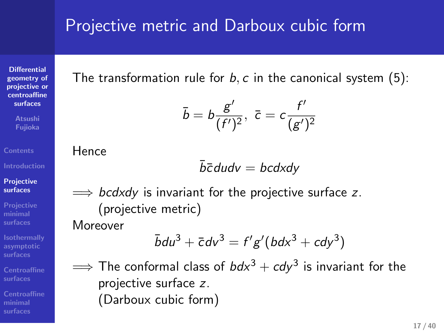### Projective metric and Darboux cubic form

The transformation rule for  $b$ ,  $c$  in the canonical system  $(5)$ :

$$
\bar{b}=b\frac{g'}{(f')^2},\ \bar{c}=c\frac{f'}{(g')^2}
$$

Hence

**Differential geometry of projective or centroaffine surfaces Atsushi Fujioka**

**Projective surfaces**

**Projective minimal surfaces**

**Isothermally asymptotic surfaces**

**Centroaffine surfaces**

**minimal surfaces**

$$
\bar{b}\bar{c} \, du dv = b c dx dy
$$

=*⇒ bcdxdy* is invariant for the projective surface *z*. (projective metric)

Moreover

$$
\bar{b}du^3 + \bar{c}dv^3 = f'g'(bdx^3 + cdy^3)
$$

 $\Longrightarrow$  The conformal class of *bdx*<sup>3</sup> + *cdy*<sup>3</sup> is invariant for the projective surface *z*. (Darboux cubic form)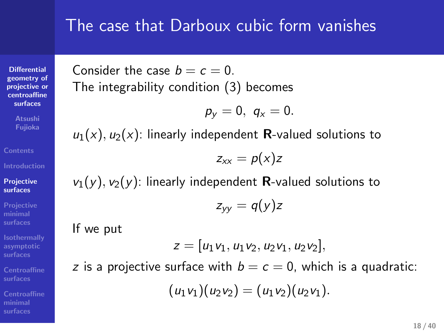### The case that Darboux cubic form vanishes

**Differential geometry of projective or centroaffine surfaces** Consider the case  $b = c = 0$ . The integrability condition (3) becomes

$$
p_y=0, \, q_x=0.
$$

 $u_1(x)$ ,  $u_2(x)$ : linearly independent **R**-valued solutions to

$$
z_{xx}=p(x)z
$$

 $v_1(y)$ ,  $v_2(y)$ : linearly independent **R**-valued solutions to

$$
z_{yy}=q(y)z
$$

If we put

**Contents**

**Projective surfaces**

**Projective minimal surfaces**

**Isothermally asymptotic surfaces**

**Centroaffine surfaces**

**minimal surfaces**

 $z = [u_1v_1, u_1v_2, u_2v_1, u_2v_2],$ 

*z* is a projective surface with  $b = c = 0$ , which is a quadratic:

 $(u_1v_1)(u_2v_2) = (u_1v_2)(u_2v_1).$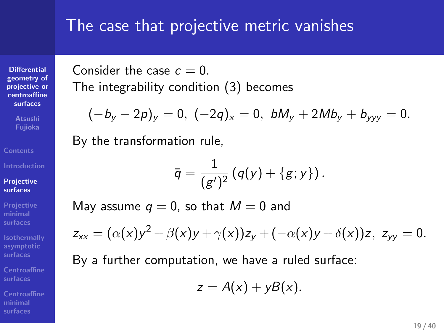### The case that projective metric vanishes

**Differential geometry of projective or centroaffine surfaces** Consider the case  $c = 0$ . The integrability condition (3) becomes

$$
(-b_y-2p)_y=0, (-2q)_x=0, bM_y+2Mb_y+b_{yyy}=0.
$$

By the transformation rule,

**Atsushi Fujioka**

**Projective surfaces**

**Projective minimal surfaces**

**Isothermally asymptotic surfaces**

**Centroaffine surfaces**

**Centroaffine minimal surfaces**

$$
\overline{q}=\frac{1}{(g')^2}(q(y)+\{g;y\}).
$$

May assume  $q = 0$ , so that  $M = 0$  and

$$
z_{xx}=(\alpha(x)y^2+\beta(x)y+\gamma(x))z_y+(-\alpha(x)y+\delta(x))z, z_{yy}=0.
$$

By a further computation, we have a ruled surface:

 $z = A(x) + yB(x)$ .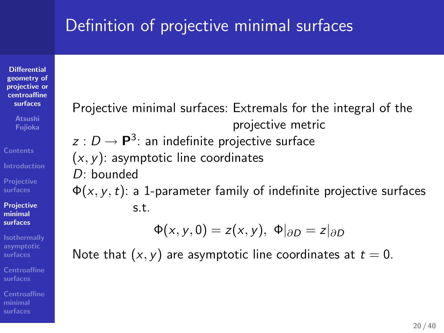### Definition of projective minimal surfaces

**Differential geometry of projective or centroaffine surfaces**

**Fujioka**

**Contents**

**Projective surfaces Projective minimal surfaces**

**Isothermally asymptotic surfaces**

**Centroaffine surfaces**

**minimal surfaces**

Projective minimal surfaces: Extremals for the integral of the projective metric  $z: D \to \mathsf{P}^3$ : an indefinite projective surface (*x, y*): asymptotic line coordinates *D*: bounded Φ(*x, y,t*): a 1-parameter family of indefinite projective surfaces s.t.  $\Phi(x, y, 0) = z(x, y), \Phi|_{\partial D} = z|_{\partial D}$ 

Note that  $(x, y)$  are asymptotic line coordinates at  $t = 0$ .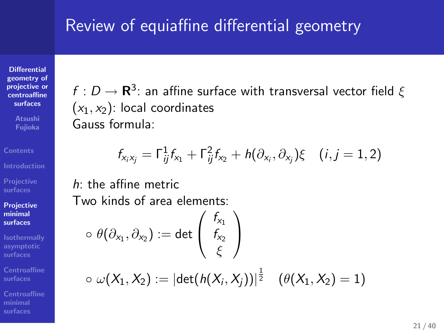### Review of equiaffine differential geometry

**Differential geometry of projective or centroaffine surfaces Atsushi Fujioka**

**Projective surfaces**

**Projective minimal surfaces**

**Isothermally asymptotic surfaces**

**Centroaffine surfaces**

**Centroaffine minimal surfaces**

 $f:D\to{\bf R}^3$ : an affine surface with transversal vector field  $\xi$  $(x_1, x_2)$ : local coordinates Gauss formula:

$$
f_{x_i x_j} = \Gamma_{ij}^1 f_{x_1} + \Gamma_{ij}^2 f_{x_2} + h(\partial_{x_i}, \partial_{x_j}) \xi \quad (i, j = 1, 2)
$$

*h*: the affine metric Two kinds of area elements:

$$
\circ\ \theta(\partial_{x_1},\partial_{x_2}):=\det\left(\begin{array}{c}f_{_{X_1}}\\f_{_{X_2}}\\\vdots\\f_{_{X_2}}\end{array}\right)\\ \circ\ \omega(X_1,X_2):=|\det(h(X_i,X_j))|^\frac{1}{2}\quad (\theta(X_1,X_2)=
$$

<sup>2</sup> (*θ*(*X*1*,X*2) = 1)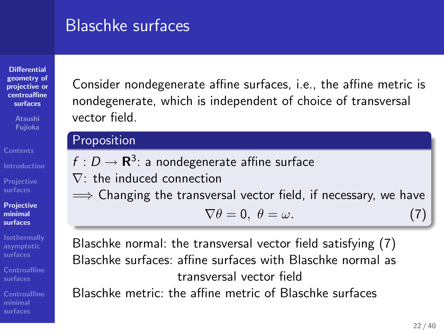### Blaschke surfaces

**Differential geometry of projective or centroaffine surfaces**

**Fujioka**

**Projective surfaces Projective minimal**

**Contents**

**surfaces**

**Isothermally asymptotic surfaces Centroaffine surfaces**

**minimal surfaces**

### Consider nondegenerate affine surfaces, i.e., the affine metric is nondegenerate, which is independent of choice of transversal vector field.

### Proposition

 $f: D \to \mathbf{R}^3$ : a nondegenerate affine surface *∇*: the induced connection =*⇒* Changing the transversal vector field, if necessary, we have  $\nabla \theta = 0, \ \theta = \omega.$ (7)

Blaschke normal: the transversal vector field satisfying (7) Blaschke surfaces: affine surfaces with Blaschke normal as transversal vector field Blaschke metric: the affine metric of Blaschke surfaces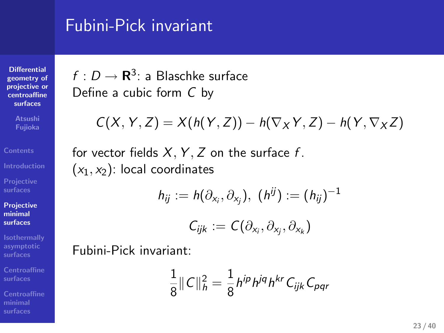### Fubini-Pick invariant

**Differential geometry of projective or centroaffine surfaces Atsushi Fujioka**

**Projective surfaces**

**Projective minimal surfaces**

**Isothermally asymptotic surfaces Centroaffine surfaces**

**Centroaffine minimal surfaces**

 $f:D\to{\bf R}^3$ : a Blaschke surface Define a cubic form *C* by

$$
C(X, Y, Z) = X(h(Y, Z)) - h(\nabla_X Y, Z) - h(Y, \nabla_X Z)
$$

for vector fields  $X, Y, Z$  on the surface  $f$ . (*x*1*, x*2): local coordinates

$$
h_{ij} := h(\partial_{x_i}, \partial_{x_j}), \ (h^{ij}) := (h_{ij})^{-1}
$$

$$
\mathcal{C}_{ijk}:=\mathcal{C}(\partial_{x_i},\partial_{x_j},\partial_{x_k})
$$

Fubini-Pick invariant:

$$
\frac{1}{8} \|C\|_h^2 = \frac{1}{8} h^{ip} h^{jq} h^{kr} C_{ijk} C_{pqr}
$$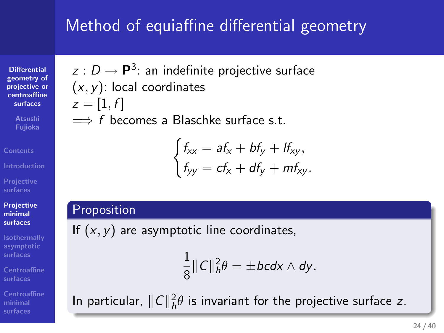## Method of equiaffine differential geometry *.* .

**Differential geometry of projective or centroaffine surfaces** *z* : *D →* **P**<sup>3</sup> : an indefinite projective surface ( *x , y*): local coordinates  $z = [1, f]$ =*⇒ f* becomes a Blaschke surface s.t. Actived of equialities differential geometry<br>  $y_2(t)$ ,  $p^2(t)$  in individing polyesia surface<br>  $(x,y)$  for it conditions<br>  $x = 1$ ,  $f_1$ <br>  $y = 1$ ,  $f_2(x) = 4$ ,  $f_3(x) = 4$ ,  $f_4(x) = 4$ ,<br>  $\begin{cases} \sqrt{x}, -45, +45, -46, \\ \sqrt{x} & = 6, -43, -46, \$ Method of equisiting differential geometry<br>  $\begin{aligned}\n\mathbf{c}_1 &= \mathbf{0} \quad \mathbf{e}_1 \mathbf{e}_2 \mathbf{e}_3 \mathbf{e}_4 \mathbf{e}_5 \mathbf{e}_6 \mathbf{e}_7 \mathbf{e}_7 \mathbf{e}_8 \mathbf{e}_7 \mathbf{e}_8 \mathbf{e}_7 \mathbf{e}_8 \mathbf{e}_7 \mathbf{e}_8 \mathbf{e}_7 \mathbf{e}_8 \mathbf{e}_7 \mathbf{e}_8 \mathbf{e}_7 \mathbf{e}_7 \mathbf{$ 

$$
\begin{cases} f_{xx} = af_x + bf_y + lf_{xy}, \\ f_{yy} = cf_x + df_y + mf_{xy}. \end{cases}
$$

**Projective surfaces**

**Projective minimal surfaces**

**Isothermally asymptotic surfaces**

**Centroaffine surfaces**

**Centroaffine minimal surfaces**

If  $(x, y)$  are asymptotic line coordinates,

$$
\frac{1}{8}||C||_h^2\theta=\pm bcdx\wedge dy.
$$

In particular,  $||C||_h^2\theta$  is invariant for the projective surface *z*.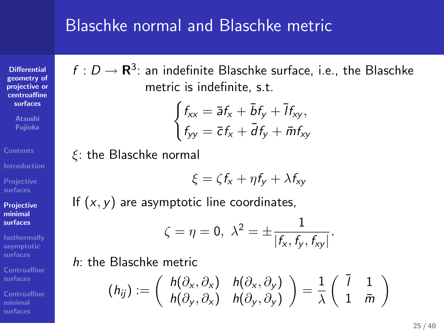### Blaschke normal and Blaschke metric

 $f:D\to{\bf R}^3$ : an indefinite Blaschke surface, i.e., the Blaschke metric is indefinite, s.t.

$$
\begin{cases} f_{xx} = \bar{a}f_x + \bar{b}f_y + \bar{l}f_{xy}, \\ f_{yy} = \bar{c}f_x + \bar{d}f_y + \bar{m}f_{xy} \end{cases}
$$

*ξ*: the Blaschke normal

**Differential geometry of projective or centroaffine surfaces**

**Atsushi Fujioka**

**Projective surfaces**

**Projective minimal surfaces**

**Isothermally asymptotic surfaces**

**Centroaffine surfaces**

**Centroaffine minimal surfaces**

$$
\xi = \zeta f_{x} + \eta f_{y} + \lambda f_{xy}
$$

If  $(x, y)$  are asymptotic line coordinates,

$$
\zeta = \eta = 0, \ \lambda^2 = \pm \frac{1}{|f_x, f_y, f_{xy}|}.
$$

*h*: the Blaschke metric

$$
(h_{ij}) := \left(\begin{array}{cc} h(\partial_x, \partial_x) & h(\partial_x, \partial_y) \\ h(\partial_y, \partial_x) & h(\partial_y, \partial_y) \end{array}\right) = \frac{1}{\lambda} \left(\begin{array}{cc} \overline{1} & 1 \\ 1 & \overline{m} \end{array}\right)
$$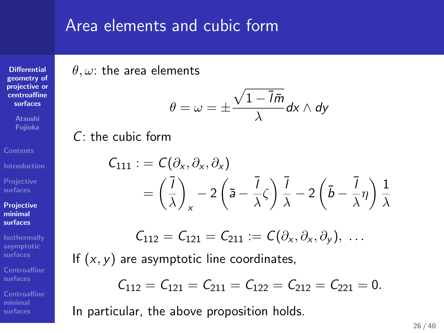### Area elements and cubic form

*θ, ω*: the area elements

**Differential geometry of projective or centroaffine surfaces Atsushi Fujioka**

**Projective surfaces**

**Projective minimal surfaces**

**Isothermally asymptotic surfaces**

**Centroaffine surfaces**

**Centroaffine minimal surfaces**

$$
\theta=\omega=\pm\frac{\sqrt{1-\overline{I}\bar{m}}}{\lambda}d\mathrm{x}\wedge d\mathrm{y}
$$

*C*: the cubic form

$$
C_{111} := C(\partial_x, \partial_x, \partial_x)
$$
  
=  $\left(\frac{\overline{1}}{\lambda}\right)_x - 2\left(\overline{a} - \frac{\overline{1}}{\lambda}\zeta\right)\frac{\overline{1}}{\lambda} - 2\left(\overline{b} - \frac{\overline{1}}{\lambda}\eta\right)\frac{1}{\lambda}$ 

$$
\mathcal{C}_{112}=\mathcal{C}_{121}=\mathcal{C}_{211}:=\mathcal{C}(\partial_x,\partial_x,\partial_y),\ \ldots
$$

If  $(x, y)$  are asymptotic line coordinates,

$$
\mathcal{C}_{112}=\mathcal{C}_{121}=\mathcal{C}_{211}=\mathcal{C}_{122}=\mathcal{C}_{212}=\mathcal{C}_{221}=0.
$$

In particular, the above proposition holds.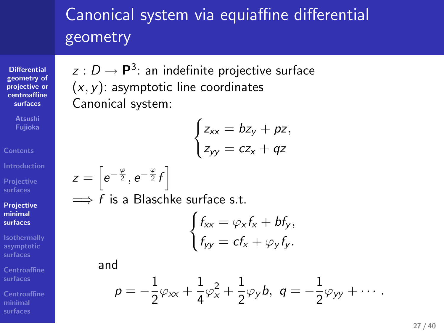### Canonical system via equiaffine differential geometry

 $z: D \to \mathsf{P}^3$ : an indefinite projective surface

(*x, y*): asymptotic line coordinates

=*⇒ f* is a Blaschke surface s.t.

Canonical system:

 $z = \left[ e^{-\frac{\varphi}{2}}, e^{-\frac{\varphi}{2}}f \right]$ 

and

**Differential geometry of projective or centroaffine surfaces**

**Atsushi Fujioka**

**Contents**

**Projective surfaces Projective minimal surfaces**

**Isothermally asymptotic surfaces**

**Centroaffine surfaces**

**minimal surfaces**

$$
p = -\frac{1}{2}\varphi_{xx} + \frac{1}{4}\varphi_x^2 + \frac{1}{2}\varphi_y b, \ q = -\frac{1}{2}\varphi_{yy} + \cdots.
$$

 $\int f_{xx} = \varphi_x f_x + b f_y,$  $f_{yy} = cf_x + \varphi_y f_y.$ 

 $\int z_{xx} = bz_y + pz$  $z_{yy} = cz_x + qz$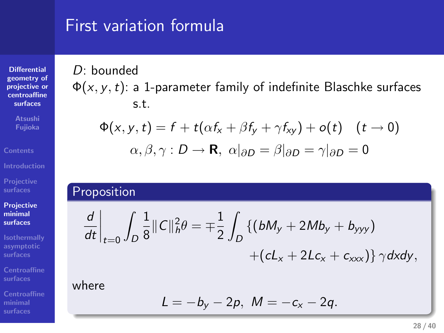## First variation formula First variation formula<br>
D. bounded<br>  $\Phi(x,y,t):=1$  puremeter family of indefinite Blackbe surform<br>  $\Phi(x,y,t)=f + t(x, t, \beta, \xi_1 + \gamma f_0) + (\gamma - 0)$ <br>  $\mu, \beta, \gamma: D \to \mathbf{R}, \alpha | \alpha_0 = \beta | \alpha_0 = \gamma | \alpha_0 = 0$ <br>
Proposition<br>
Proposition First variation formula<br>  $D_{\phi}(x, t) \ge 1$  positive is indicated in the first Elisable settles<br>  $\phi(x, t) \ge 1$  positive is indicated in the set of the set of  $\phi(x, t) = t + \frac{1}{2}(x^2 + 2(x^2 - 4x^2 - 4x^2 - 4x^2 - 4x^2 - 4x^2 - 4x^2 - 4x^$

s.t.

 $\Phi(x,y,t)$ : a 1-parameter family of indefinite Blaschke surfaces

 $\Phi(x, y, t) = f + t(\alpha f_x + \beta f_y + \gamma f_{xy}) + o(t) \quad (t \to 0)$ 

*α*, *β*, *γ* : *D* → **R**,  $α|∂*D* = β|∂*D* = γ|∂$ 

*D*

 $L = -b_y - 2p, M = -c_x - 2q.$ 

 $\{(bM_y + 2Mb_y + b_{yyy})\}$ 

 $+(cL_x + 2Lc_x + c_{xxx})\}\gamma$ *dxdy*,

 $\int\limits_{D}\frac{1}{8}\Vert C\Vert_{h}^{2}\theta=\mp\frac{1}{2}\int$ 

*D*: bounded

 $\left.\frac{d}{dt}\right|_{t=0}$   $\int$ 

**Differential geometry of projective or centroaffine surfaces**

**Contents**

**Introduction Projective surfaces**

**Projective minimal surfaces**

**Isothermally asymptotic surfaces Centroaffine surfaces**

 $\frac{d}{dt}\Big|_{t=0} \int_D \frac{1}{8} ||C||_h^2 \theta = \pm \frac{1}{2} \int_D \{ (bM_y + 2Mb_y + b_{yyy}) + (cL_x + 2Lc_x + c_{xxx}) \} \gamma dxdy,$ <br>where<br> $L = -b_y - 2p, M = -c_x - 2q.$ where

**minimal surfaces**

**28 / 40**

*D* = 0 .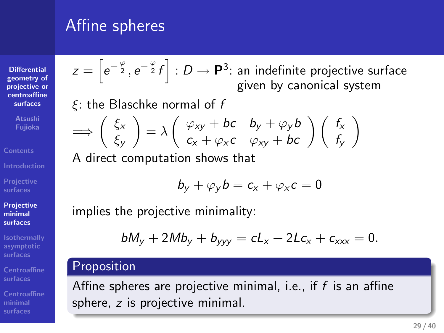## Affine spheres effine spheres<br>  $z = \left[\begin{array}{c} e \\ e \end{array}\right]$   $\left[\begin{array}{c} 0 & -p \\ 1 & m \end{array}\right]$  is minimization surface<br>  $z = \left[\begin{array}{c} 0 & -p \\ 1 & m \end{array}\right]$  is the distribution of  $f$  (from by calculate sphere)<br>  $\rightarrow \left(\begin{array}{c} \zeta_p \\ \zeta_p \end{array}\right) = \lambda \left(\begin{array}{c} \$

=*⇒* ( *ξx*

*ξy*

*ξ*: the Blaschke normal of *f*

A direct computation shows that

implies the projective minimality:

**Differential geometry of projective or centroaffine surfaces Atsushi Fujioka**

**Introduction Projective surfaces Projective minimal**

**Contents**

**surfaces Isothermally**

**surfaces**

**minimal surfaces**

Affine spheres:<br>  $z = [e^{-\frac{3}{2}}, e^{-\frac{3}{2}}t]$ .  $D = e^{2\frac{1}{2}}$  as including equation equation of the spheres of the spheres of the spheres of the spheres of the spheres of the spheres of the spheres of the spheres of the sphe Affine spheres are projective minimal, i.e., if *f* is an affine sphere, *z* is projective minimal.

*z* = [*e<sup>−</sup> <sup>ϕ</sup>*<sup>2</sup> *, e<sup>−</sup> <sup>ϕ</sup>*<sup>2</sup> *f* ] : *D →* **P** 3 : an indefinite projective surface

 $\left(\begin{array}{cc} f_{xy} + bf & b_y + \varphi_y b \\ c_x + \varphi_x c & \varphi_{xy} + bc \end{array}\right) \left(\begin{array}{c} f_x \\ f_y \end{array}\right)$ 

 $b_y + \varphi_y b = c_x + \varphi_x c = 0$ 

 $bM_y + 2Mb_y + b_{yyy} = cL_x + 2Lc_x + c_{xxx} = 0$ 

 $\lambda = \lambda \left( \begin{array}{cc} \varphi_{xy} + bc & b_y + \varphi_y b \\ c & d_y \end{array} \right)$ 

given by canonical system

*fy*  $\setminus$  *.* .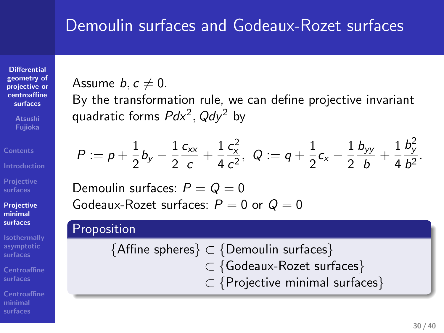### Demoulin surfaces and Godeaux-Rozet surfaces

**Differential geometry of projective or centroaffine surfaces**

**Fujioka Contents**

**Projective surfaces**

**Projective minimal surfaces**

**Isothermally asymptotic surfaces Centroaffine surfaces**

**minimal surfaces**

 $\frac{y}{b^2}$ .

Assume  $b, c \neq 0$ . By the transformation rule, we can define projective invariant

quadratic forms *Pdx* 2 *, Qdy* <sup>2</sup> by 12 12

Demoulin surfaces and Godeaux-Rozet surfaces

\nAssume 
$$
b, c \neq 0
$$
.

\nBy the transformation rule, we can define projective invariant quadratic forms  $Pab^2$ ,  $Qdy^2$  by

\n $P := p + \frac{1}{2}b_y - \frac{1}{2}\frac{c_w}{c} + \frac{1}{4}\frac{c^2}{c^2}$ ,  $Q := q + \frac{1}{2}c_v - \frac{1}{2}\frac{b_v}{b} + \frac{1}{4}\frac{b^2}{b^2}$ .

\nDemoulin surfaces:  $P = Q = 0$ 

\nGeabaw-Rozet surfaces:  $P = 0$  or  $Q = 0$ 

\nProposition

Demoulin surfaces:  $P = Q = 0$ Godeaux-Rozet surfaces: *P* = 0 or

### Demoulin surfaces and Codeaux-Rozet surfaces<br>
Aware Archives and Codeaux-Rozet surfaces<br>
By the transformation rate, we can estime provailine from the<br>
equal to transform  $Q^2$ ,  $Q^2 = \frac{1}{2}S_2 - \frac{1}{2}S_3 - \frac{1}{4}S_4^2$ .<br> {Affine spheres} ⊂ {Demoulin surfaces}<br>
⊂ {Godeaux-Rozet surfaces}<br>
⊂ {Projective minimal surfaces}<br>
<sup>30/40</sup> *⊂ {*Godeaux-Rozet surfaces *} ⊂ {*Projective minimal surfaces *}*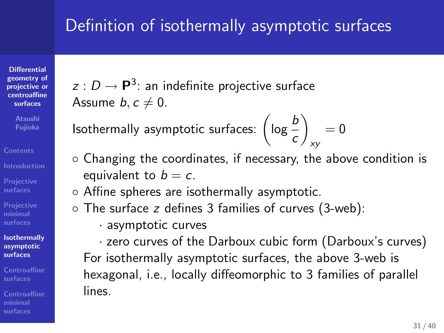### Definition of isothermally asymptotic surfaces

**Differential geometry of projective or centroaffine surfaces**

**Fujioka**

**Projective surfaces**

**minimal surfaces Isothermally asymptotic**

**surfaces surfaces**

**minimal surfaces**

 $z: D \to \mathsf{P}^3$ : an indefinite projective surface Assume  $b, c \neq 0$ .

**I**sothermally asymptotic surfaces:  $\left(\log \frac{b}{c}\right)$  $\setminus$ *xy*

*◦* Changing the coordinates, if necessary, the above condition is equivalent to  $b = c$ .

 $= 0$ 

- *◦* Affine spheres are isothermally asymptotic.
- *◦* The surface *z* defines 3 families of curves (3-web):
	- *·* asymptotic curves

*·* zero curves of the Darboux cubic form (Darboux's curves) For isothermally asymptotic surfaces, the above 3-web is hexagonal, i.e., locally diffeomorphic to 3 families of parallel lines.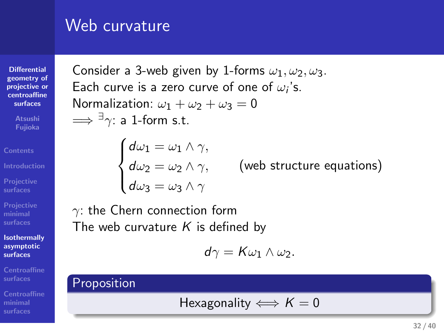### Web curvature

**Differential geometry of projective or centroaffine surfaces**

**Fujioka**

**Projective surfaces**

**Projective minimal surfaces**

**Isothermally asymptotic**

**surfaces Centroaffine surfaces**

**minimal surfaces**

Consider a 3-web given by 1-forms  $\omega_1, \omega_2, \omega_3$ . Each curve is a zero curve of one of  $\omega_i$ 's. Normalization:  $\omega_1 + \omega_2 + \omega_3 = 0$  $\Longrightarrow$   $\exists \gamma$ : a 1-form s.t.  $\begin{cases} d\omega_1 = \omega_1 \wedge \gamma, \\ d\omega_2 = \omega_2 \wedge \gamma, \\ d\omega_3 = \omega_3 \wedge \gamma \end{cases}$ (web structure equations) *γ*: the Chern connection form The web curvature *K* is defined by *.* . Velo curvature<br>
Consider a Seede given by Lefouria  $u_1, u_2, u_3, u_4$ .<br>
Ench wind is a zono anno after  $u^2_1, u^3_2, u^4_3$ .<br>
Ench wind is a zono anno after  $u^2_1, u^4_2, u^5$ .<br>  $\begin{cases}\nu_1 = u_1 \wedge v_1, \\
u_2 = u_2 \wedge v_2, \\
du_3 = u_3 \w$ With curvature<br>  $\frac{1}{2}$ <br>
Consider the development of the state of the state of the state of the state<br>
considerable consider the state of the state of the state<br>  $-\frac{1}{2}$  of the state of the state of the state<br>  $\begin{cases}\n$ 

$$
d\gamma = K\omega_1\wedge \omega_2.
$$

$$
H\n\nHexagonality  $\iff K = 0$
$$

 $\frac{1}{\sqrt{2}}$ **32 / 40**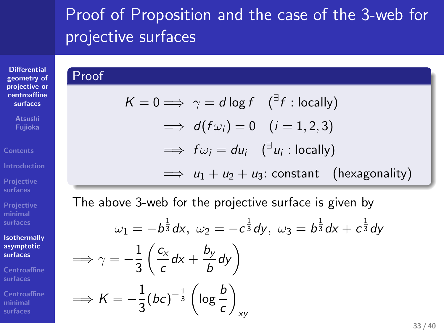### Proof of Proposition and the case of the 3-web for projective surfaces

 $\implies u_1 + u_2 + u_3$ : constant (hexagonality)

### **Differential geometry of projective or centroaffine surfaces**

Proof

 $\Rightarrow K=-\frac{1}{2}$ 

**Fujioka Contents**

**Projective surfaces Projective minimal surfaces**

**Isothermally asymptotic surfaces**

**minimal surfaces**

The above 3-web for the projective surface is given by

 $K = 0 \Longrightarrow \gamma = d \log f \quad ({^{\exists} f :$  locally)

 $\implies$   $d(f\omega_i) = 0$   $(i = 1, 2, 3)$ 

 $\implies$   $f\omega_i = du_i$  ( $^{\exists}u_i$ : locally)

. The contract of  $\mathcal{L}$  is the contract of  $\mathcal{L}$  is the contract of  $\mathcal{L}$ 

 $\setminus$ 

*xy*

 $\frac{1}{3}(bc)^{-\frac{1}{3}}\left(\log\frac{b}{c}\right)$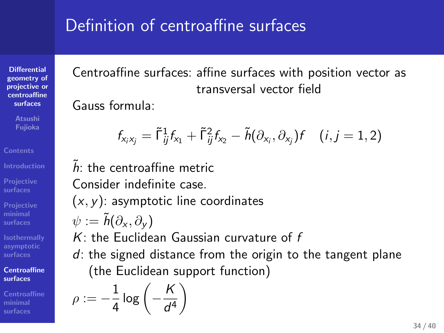### Definition of centroaffine surfaces

Centroaffine surfaces: affine surfaces with position vector as transversal vector field

Gauss formula:

**Differential geometry of projective or centroaffine surfaces**

**Fujioka**

**Projective surfaces**

**Projective minimal surfaces**

**Isothermally asymptotic surfaces Centroaffine surfaces**

**minimal surfaces**

$$
f_{x_i x_j} = \tilde{\Gamma}_{ij}^1 f_{x_1} + \tilde{\Gamma}_{ij}^2 f_{x_2} - \tilde{h}(\partial_{x_i}, \partial_{x_j}) f \quad (i, j = 1, 2)
$$

 $\tilde{h}$ : the centroaffine metric Consider indefinite case. (*x, y*): asymptotic line coordinates  $ψ := \tilde{h}(\partial_x, \partial_y)$ *K*: the Euclidean Gaussian curvature of *f d*: the signed distance from the origin to the tangent plane

(the Euclidean support function)

$$
\rho:=-\frac{1}{4}\log\left(-\frac{K}{d^4}\right)
$$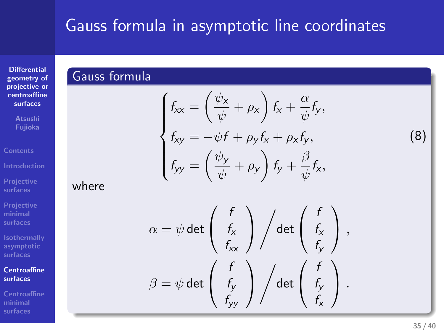# Gauss formula in asymptotic line coordinates . Gauss formula in asymptotic line coordinates<br>Causs formula

**Differential geometry of projective or centroaffine surfaces**

**Contents**

**Projective surfaces**

where

**Projective minimal surfaces**

**Isothermally asymptotic Centroaffine**

**surfaces**

**minimal surfaces**

### $\begin{cases}\nf_{\text{tx}} = \left(\frac{\psi_x}{\psi} + \rho_x\right) f_x + \frac{\alpha}{\psi} f_y, \\
f_{\text{ty}} = -\psi f + \rho_y f_x + \rho_x f_y, \\
f_{\text{yy}} = \left(\frac{\psi_y}{\psi} + \rho_y\right) f_y + \frac{\beta}{\psi} f_x, \\
\alpha = \psi \det \begin{pmatrix} f \\ f_x \\ f_{\text{tx}} \end{pmatrix} / \det \begin{pmatrix} f \\ f_x \\ f_y \end{pmatrix}, \\
\beta = \psi \det \begin{pmatrix} f \\ f_y \\ f_{\text{yy}} \end{pmatrix} / \det \begin{pmatrix} f \\ f_y \\ f_x \end{pmatrix}$ (8)  $\alpha = \psi \det \left( \begin{array}{c} f \\ f_x \end{array} \right)$ *fxx*  $\bigg)$ det  $\begin{pmatrix} f \\ f_x \\ f_y \end{pmatrix}$ *fy ,*  $\beta = \psi$  det  $\begin{pmatrix} f \\ f_y \end{pmatrix}$ *fyy*  $\bigg)$ det  $\begin{pmatrix} f \\ f_y \\ f_z \end{pmatrix}$ *fx .*

**35 / 40**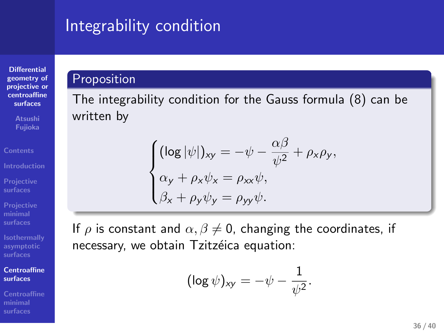# Integrability condition . Proposition . . .

**Differential geometry of projective or centroaffine surfaces**

**Atsushi Fujioka**

**Contents Projective surfaces**

**Projective minimal surfaces**

**Isothermally asymptotic surfaces**

**Centroaffine surfaces**

**minimal surfaces**

### written by

 $\left\{\begin{matrix} 0 \\ 0 \\ 0 \\ 0 \end{matrix}\right.$  $(\log |\psi|)_{xy} = -\psi - \frac{\alpha\beta}{\psi^2} + \rho_x\rho_y,$  $\alpha$ <sub>y</sub> +  $\rho_x \psi_x = \rho_{xx} \psi$ ,  $\beta_x + \rho_y \psi_y = \rho_{yy} \psi.$ 

The integrability condition for the Gauss formula (8) can be

 $(\beta_x + \rho_y \psi_y = \rho_{yy} \psi)$ .<br>
If  $\rho$  is constant and  $\alpha$ ,  $\beta \neq 0$ , changing the coordinates, if<br>
necessary, we obtain Tzitzéica equation:<br>  $(\log \psi)_{xy} = -\psi - \frac{1}{\psi^2}$ . If  $\rho$  is constant and  $\alpha, \beta \neq 0$ , changing the coordinates, if necessary, we obtain Tzitzéica equation:

$$
(\log \psi)_{xy} = -\psi - \frac{1}{\psi^2}.
$$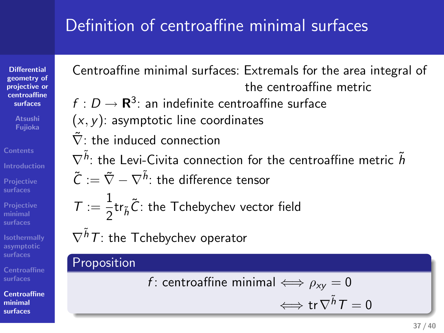### Definition of centroaffine minimal surfaces

**Differential geometry of projective or centroaffine surfaces Fujioka**

**Contents**

**Projective surfaces Projective minimal surfaces**

**Isothermally asymptotic surfaces**

**Centroaffine surfaces**

**Centroaffine**

**minimal surfaces**

**37 / 40**

Centroaffine minimal surfaces: Extremals for the area integral of the centroaffine metric  $f: D \to \mathbf{R}^3$ : an indefinite centroaffine surface  $(x, y)$ : asymptotic line coordinates  $\tilde{\nabla}$ : the induced connection  $\nabla^{\tilde{h}}$ : the Levi-Civita connection for the centroaffine metric  $\tilde{h}$ **Tring the Terms of Tring and Section 2.1 The Terms of the area integral of the transitional statements for the area integral of**  $\sigma$ **. He has best of the consistence restriction consistents and the transition consistent o**  $P_0$  in this control of the control of the minimal surfaces<br>Control for minimal surface is between the control of the execution is a set integral of<br> $P_0 \cap P_1$  is a minimal surface is the control for each of<br> $P_0$  is a m Definition of contraading minimal surfaces<br>  $\epsilon$ ,  $\epsilon$  denote the minimal surface for example of<br>  $\epsilon$ .  $\epsilon$ .  $\epsilon$ .  $\epsilon$ .  $\epsilon$  is a interferite contrading minimal surface<br>  $\epsilon$ .  $\epsilon$ .  $\epsilon$ .  $\epsilon$ .  $\epsilon$  is a interferite con

 $\tilde{\mathcal{C}}:=\tilde{\nabla}-\nabla^{\tilde{h}}$ : the difference tensor

 $\mathcal{T} := \frac{1}{2} \text{tr}_{\tilde h} \tilde{\mathcal{C}}$ : the Tchebychev vector field

*∇ h*˜

**here** *f* : centroaffine minimal  $\Leftrightarrow \rho_{xy} = 0$ <br> $\Leftrightarrow \text{tr } \nabla^{\tilde{h}} T = 0$ 

 $\Longleftrightarrow$  tr $\nabla^{\tilde{h}}T=0$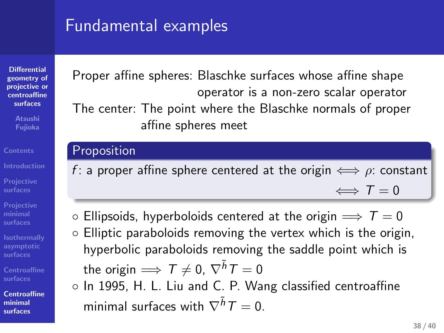### Fundamental examples

**Differential geometry of projective or centroaffine surfaces**

**Fujioka**

**Contents**

**Projective surfaces**

**Projective minimal surfaces**

**Isothermally asymptotic surfaces surfaces**

**Centroaffine minimal surfaces**

Proper affine spheres: Blaschke surfaces whose affine shape operator is a non-zero scalar operator

The center: The point where the Blaschke normals of proper affine spheres meet

### Proposition

- *f* : a proper affine sphere centered at the origin  $\iff \rho$ : constant *⇐⇒ T* = 0
- *◦* Ellipsoids, hyperboloids centered at the origin =*⇒ T* = 0
- *◦* Elliptic paraboloids removing the vertex which is the origin, hyperbolic paraboloids removing the saddle point which is  $\text{the origin}\Longrightarrow \mathcal{T}\neq 0,\ \nabla^{\tilde{h}}\mathcal{T}=0.$
- . . . . . minimal surfaces with  $\nabla^{\tilde{h}}T=0.$ *◦* In 1995, H. L. Liu and C. P. Wang classified centroaffine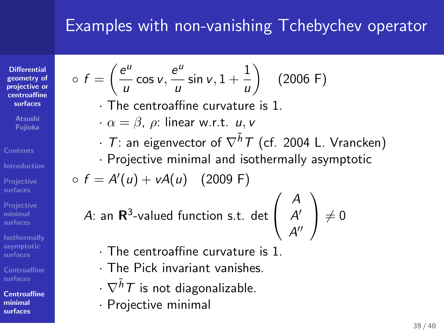### Examples with non-vanishing Tchebychev operator

*· T*: an eigenvector of *∇h*˜ *T* (cf. 2004 L. Vrancken) *·* Projective minimal and isothermally asymptotic

 $\setminus$ 

(2006 F)

**Differential geometry of projective or centroaffine surfaces**

 $\circ$   $f = \left(\frac{e^u}{e}\right)$ 

**Atsushi Fujioka**

**Contents Introduction**

**Projective surfaces Projective minimal**

**Isothermally**

**Centroaffine surfaces Centroaffine**

**minimal surfaces**

 $\frac{e^u}{u}$  sin *v*, 1 +  $\frac{1}{u}$ 

*·* The centroaffine curvature is 1. *· α* = *β*, *ρ*: linear w.r.t. *u, v*

*A*: an **R** 3 -valued function s.t. det  $\mathcal{L}$  $A''$ 

- *·* The centroaffine curvature is 1.
- *·* The Pick invariant vanishes.
- *· ∇h*˜ *T* is not diagonalizable.
- *·* Projective minimal

 $\frac{e^u}{u}$  cos *v*,  $\frac{e^u}{u}$